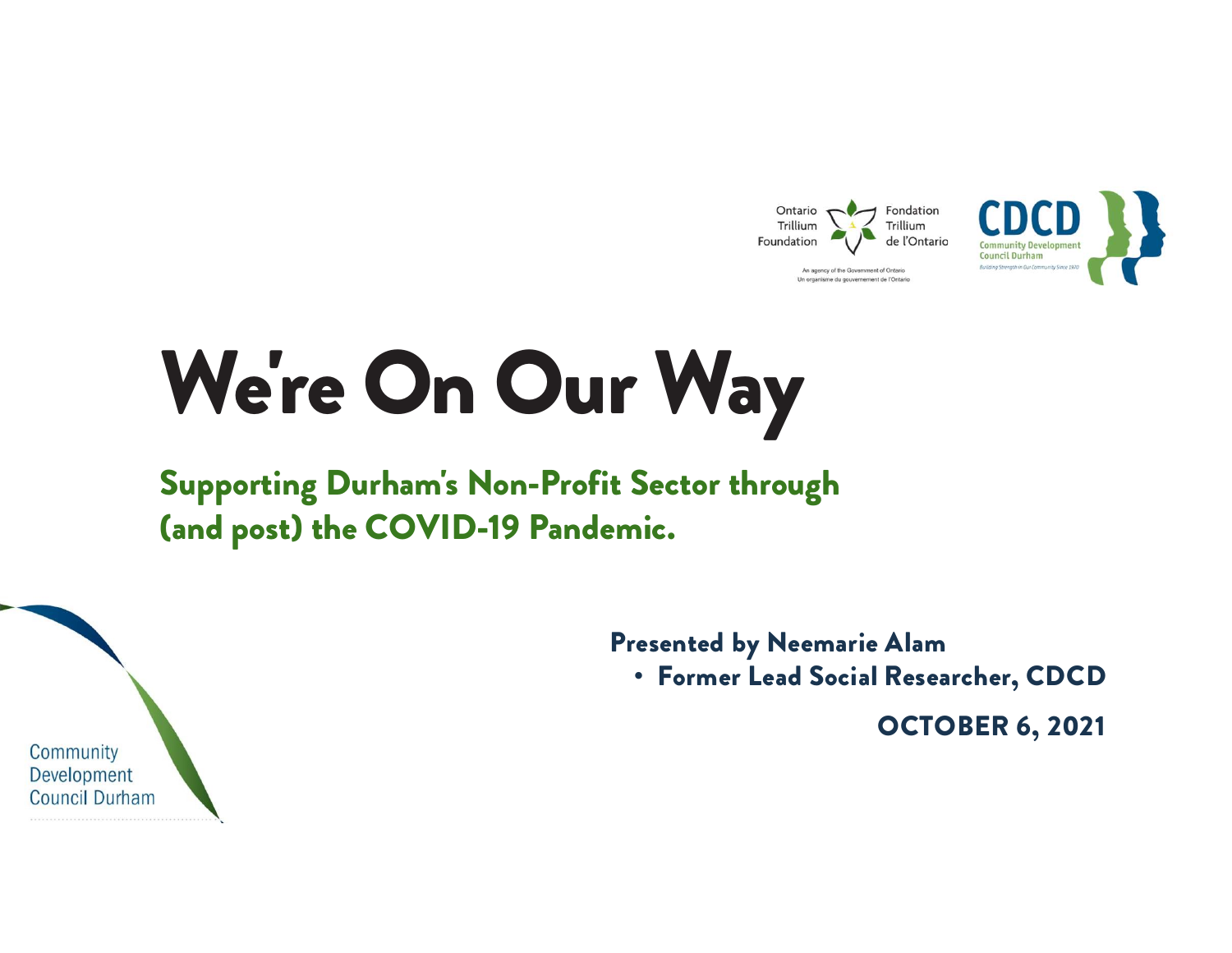

# We're On Our Way

### Supporting Durham's Non-Profit Sector through (and post) the COVID-19 Pandemic.

Presented by Neemarie Alam<br>• Former Lead Social Researcher, CDCD nic.<br>• Former Lead Social Researcher, CDCD<br>• Former Lead Social Researcher, CDCD<br>©CTOBER 6, 2021

OCTOBER 6, 2021

Community Development **Council Durham**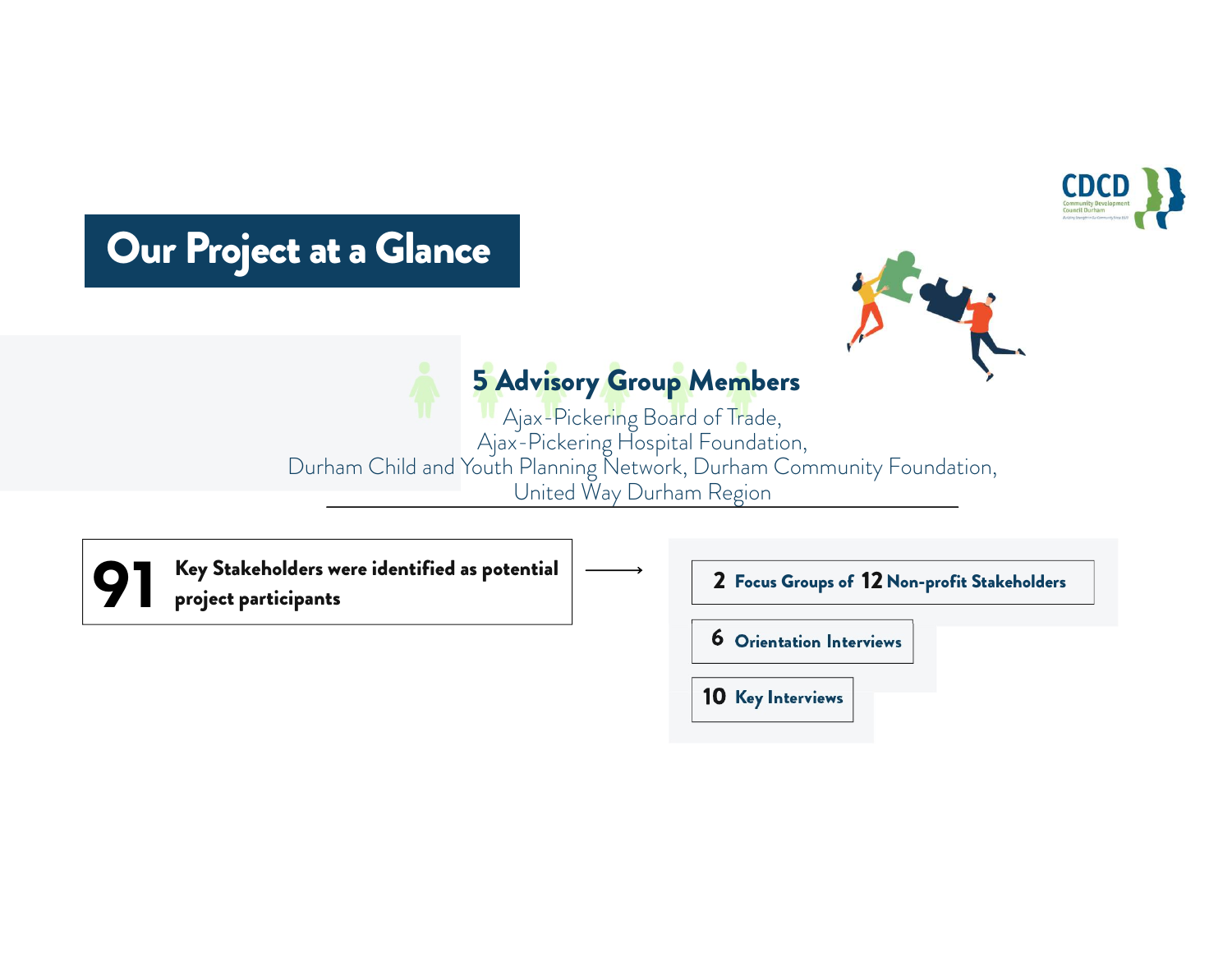

### Our Project at a Glance



### 5 Advisory Group Members

Ajax-Pickering Board of Trade, Ajax-Pickering Hospital Foundation, Durham Child and Youth Planning Network, Durham Community Foundation, United Way Durham Region

 $91$  Key S<br>projection Key Stakeholders were identified as potential project participants

f Trade,<br>
oundation,<br>
urham Community Foundation,<br>
Region<br> **2 Focus Groups of 12 Non-profit Stakeholders<br>
6 Orientation Interviews** 6 Orientation Interviews 10 Key Interviews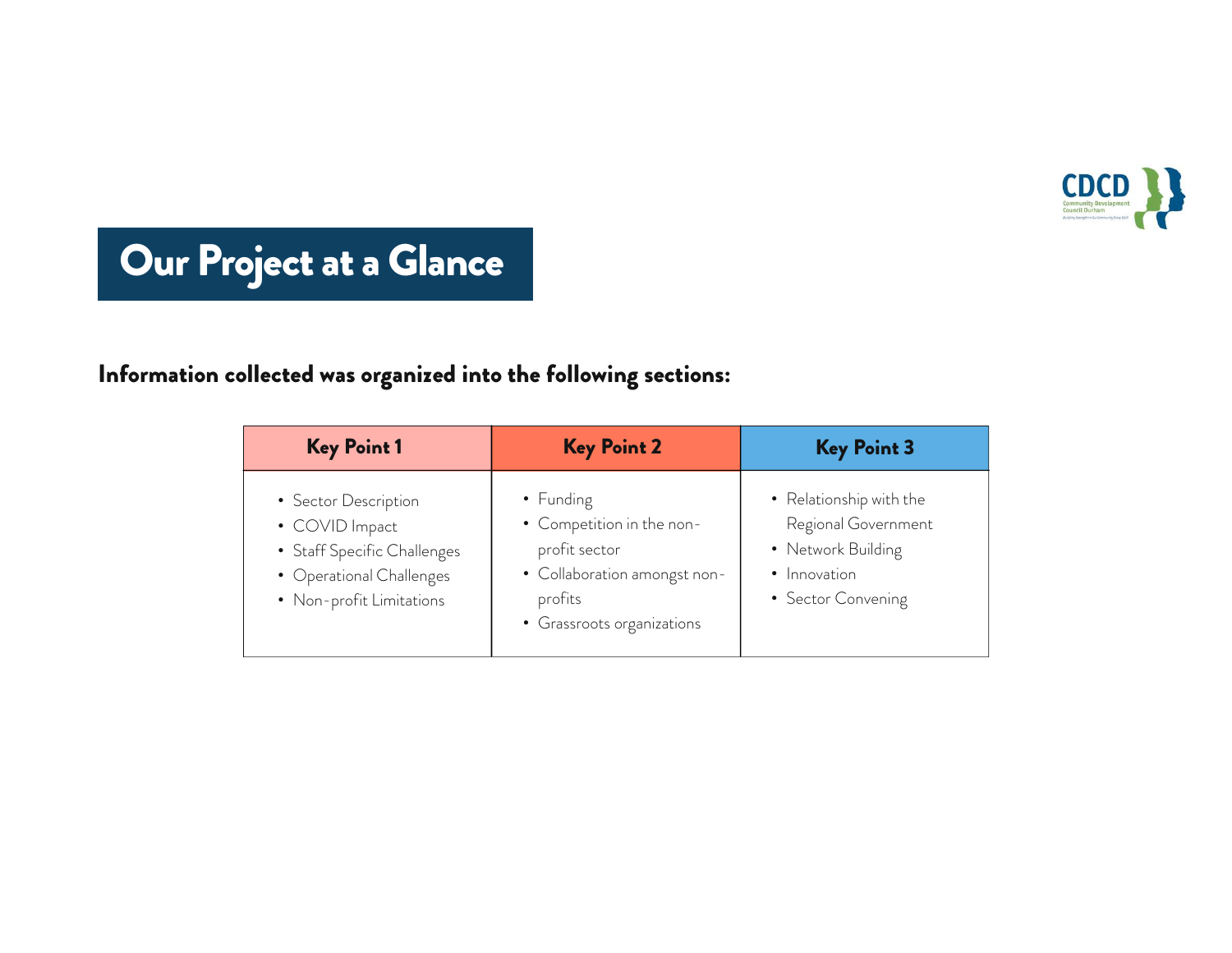

# Our Project at a Glance

#### Information collected was organized into the following sections:

| <b>Key Point 1</b>                                                                                                            | <b>Key Point 2</b>                                                                                                               | <b>Key Point 3</b>                                                                                         |
|-------------------------------------------------------------------------------------------------------------------------------|----------------------------------------------------------------------------------------------------------------------------------|------------------------------------------------------------------------------------------------------------|
| • Sector Description<br>• COVID Impact<br>• Staff Specific Challenges<br>• Operational Challenges<br>• Non-profit Limitations | • Funding<br>• Competition in the non-<br>profit sector<br>• Collaboration amongst non-<br>profits<br>• Grassroots organizations | • Relationship with the<br>Regional Government<br>• Network Building<br>• Innovation<br>• Sector Convening |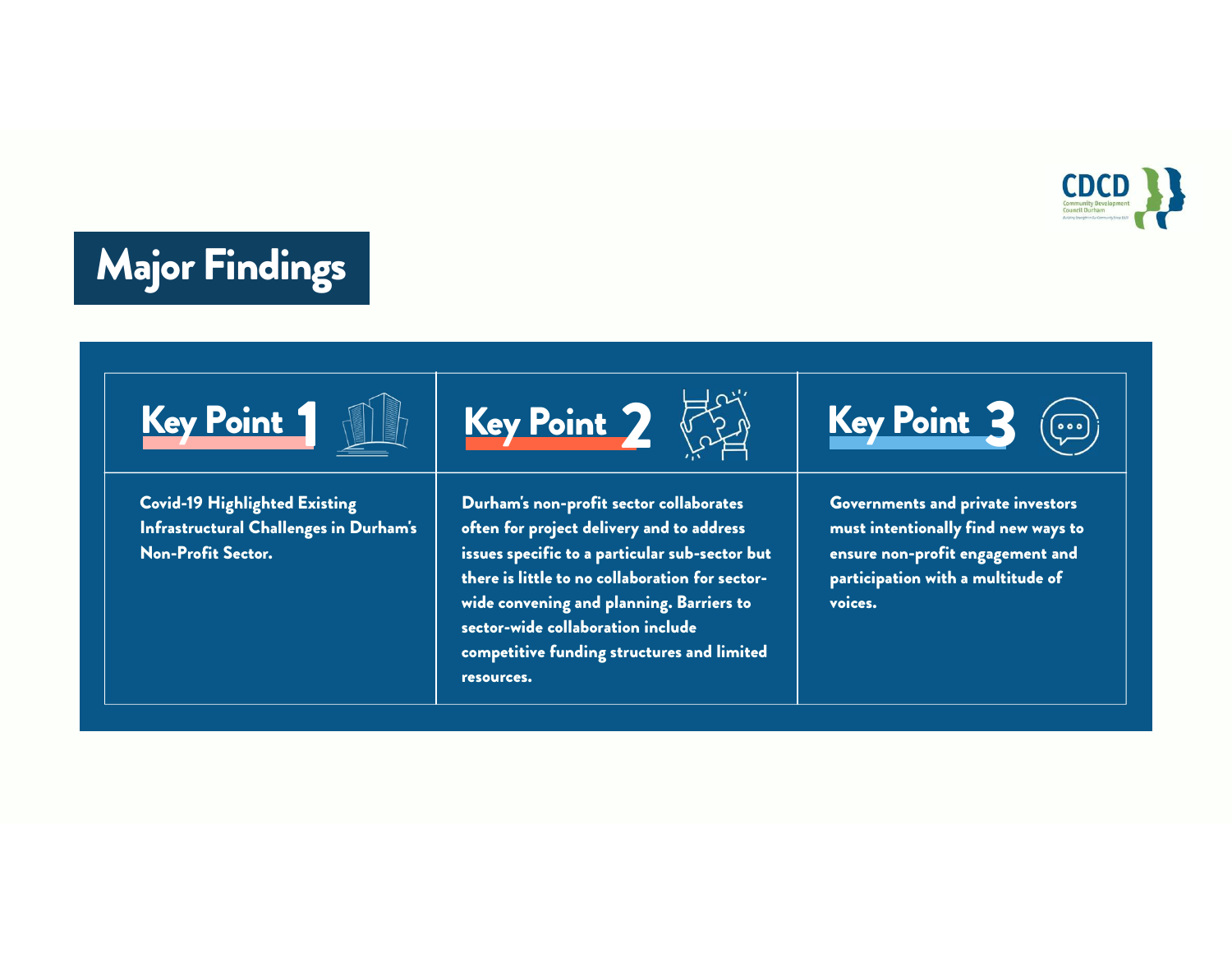

# Major Findings



Covid-19 Highlighted Existing Infrastructural Challenges in Durham's Non-Profit Sector.

Key Point 1  $\mathbb{R}$  Key Point 2  $\mathbb{R}$  Key Point 3  $\circled{e}$ 

Durham's non-profit sector collaborates often for project delivery and to address issues specific to a particular sub-sector but there is little to no collaboration for sectorwide convening and planning. Barriers to sector-wide collaboration include competitive funding structures and limited resources.





Governments and private investors must intentionally find new ways to ensure non-profit engagement and participation with a multitude of voices.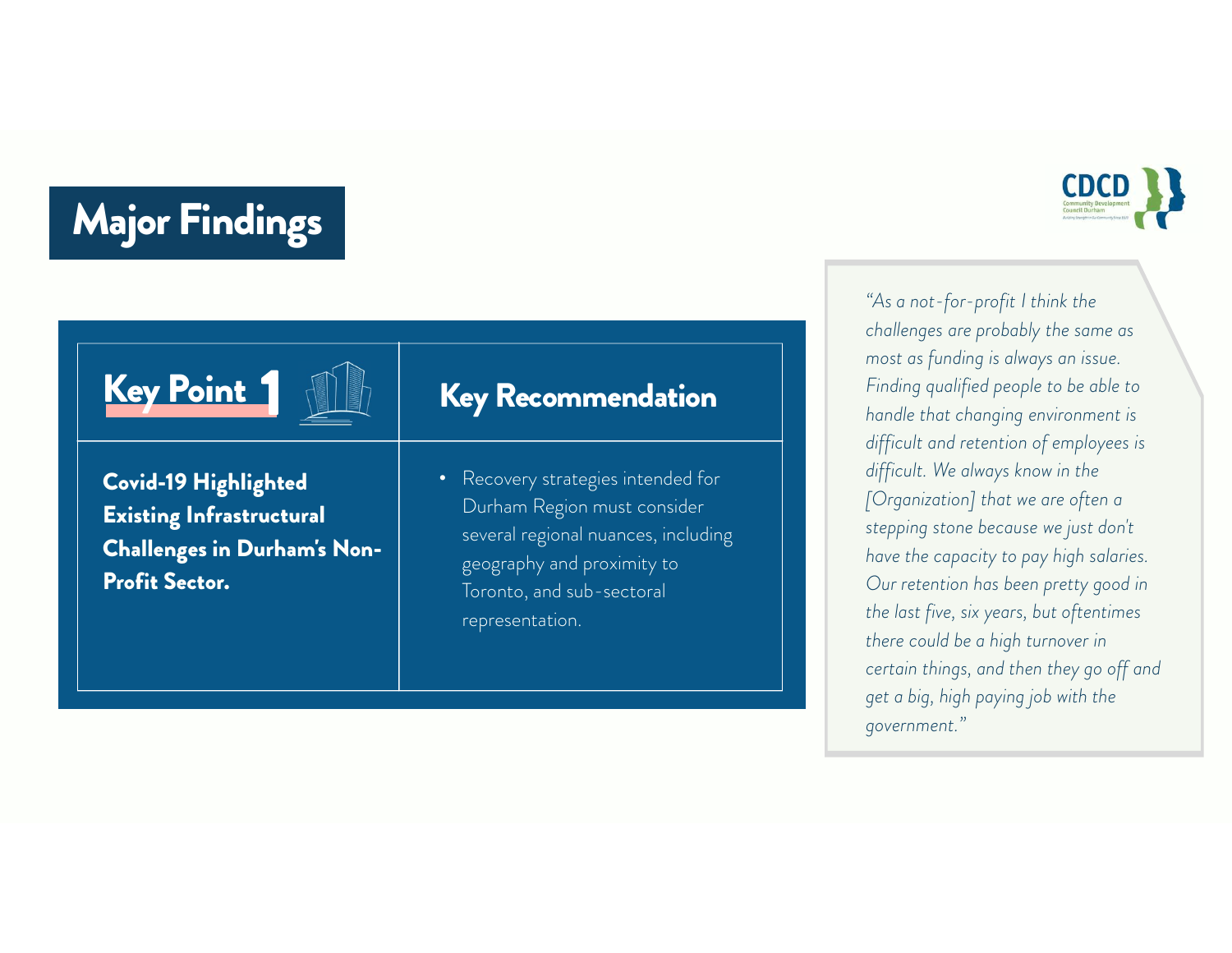# **Major Findings**

Key Point 1

Profit Sector.

### Key Recommendation

Covid-19 Highlighted Existing Infrastructural Challenges in Durham's Non-

• Recovery strategies intended for Durham Region must consider several regional nuances, including geography and proximity to Toronto, and sub-sectoral representation.

**CDCD** 

"As a not-for-profit I think the challenges are probably the same as most as funding is always an issue. Finding qualified people to be able to handle that changing environment is difficult and retention of employees is difficult. We always know in the [Organization] that we are often a stepping stone because we just don't have the capacity to pay high salaries. Our retention has been pretty good in the last five, six years, but oftentimes there could be a high turnover in certain things, and then they go off and get a big, high paying job with the government."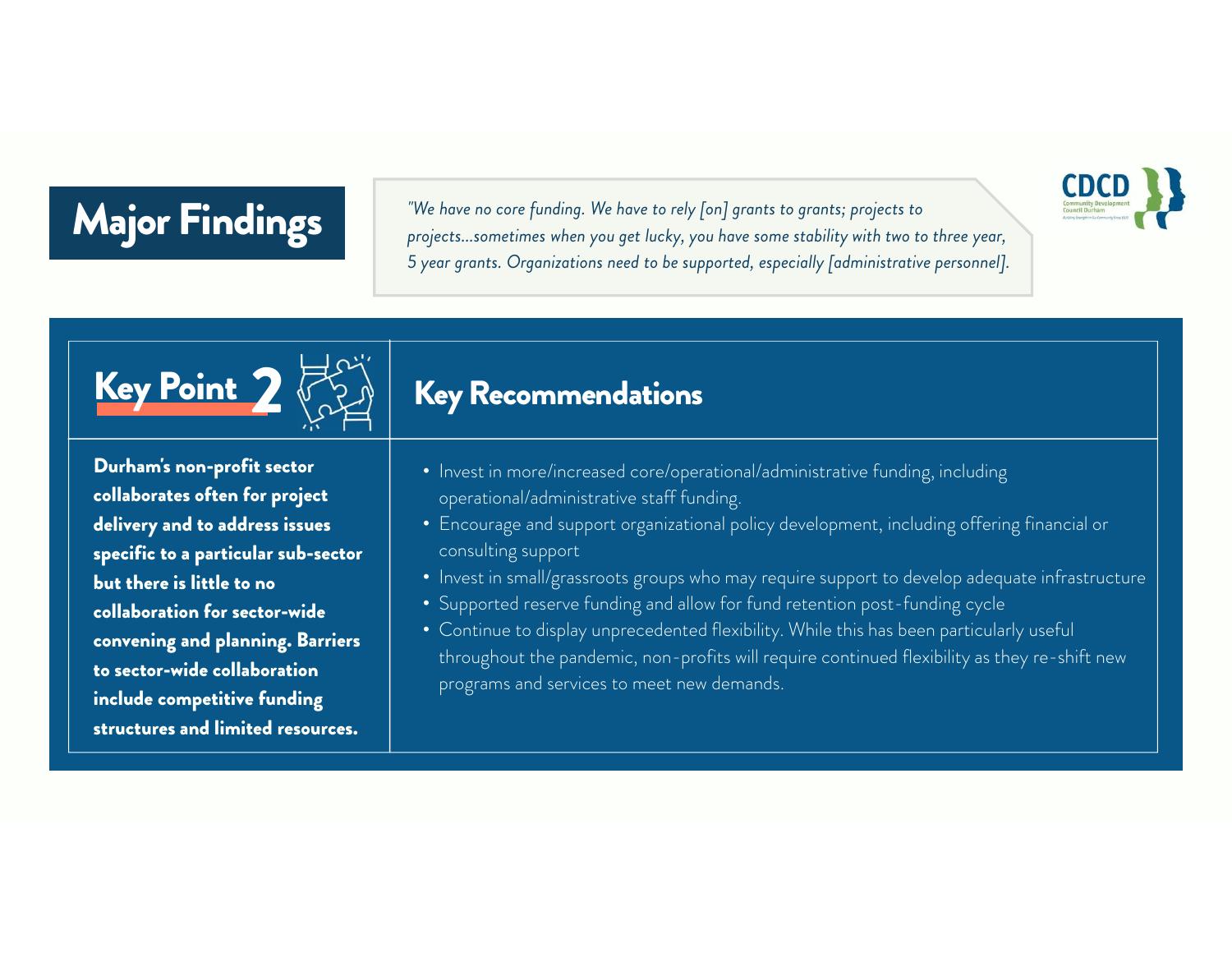#### Major Findings Major Findings

"We have no core funding. We have to rely [on] grants to grants; projects to projects...sometimes when you get lucky, you have some stability with two to three year, 5 year grants. Organizations need to be supported, especially [administrative personnel].



Durham's non-profit sector collaborates often for project delivery and to address issues specific to a particular sub-sector but there is little to no collaboration for sector-wide convening and planning. Barriers to sector-wide collaboration include competitive funding structures and limited resources.

### Key Recommendations

- Invest in more/increased core/operational/administrative funding, including operational/administrative staff funding.
- Encourage and support organizational policy development, including offering financial or consulting support
- Invest in small/grassroots groups who may require support to develop adequate infrastructure

**CDC** 

- Supported reserve funding and allow for fund retention post-funding cycle
- Continue to display unprecedented flexibility. While this has been particularly useful throughout the pandemic, non-profits will require continued flexibility as they re-shift new programs and services to meet new demands.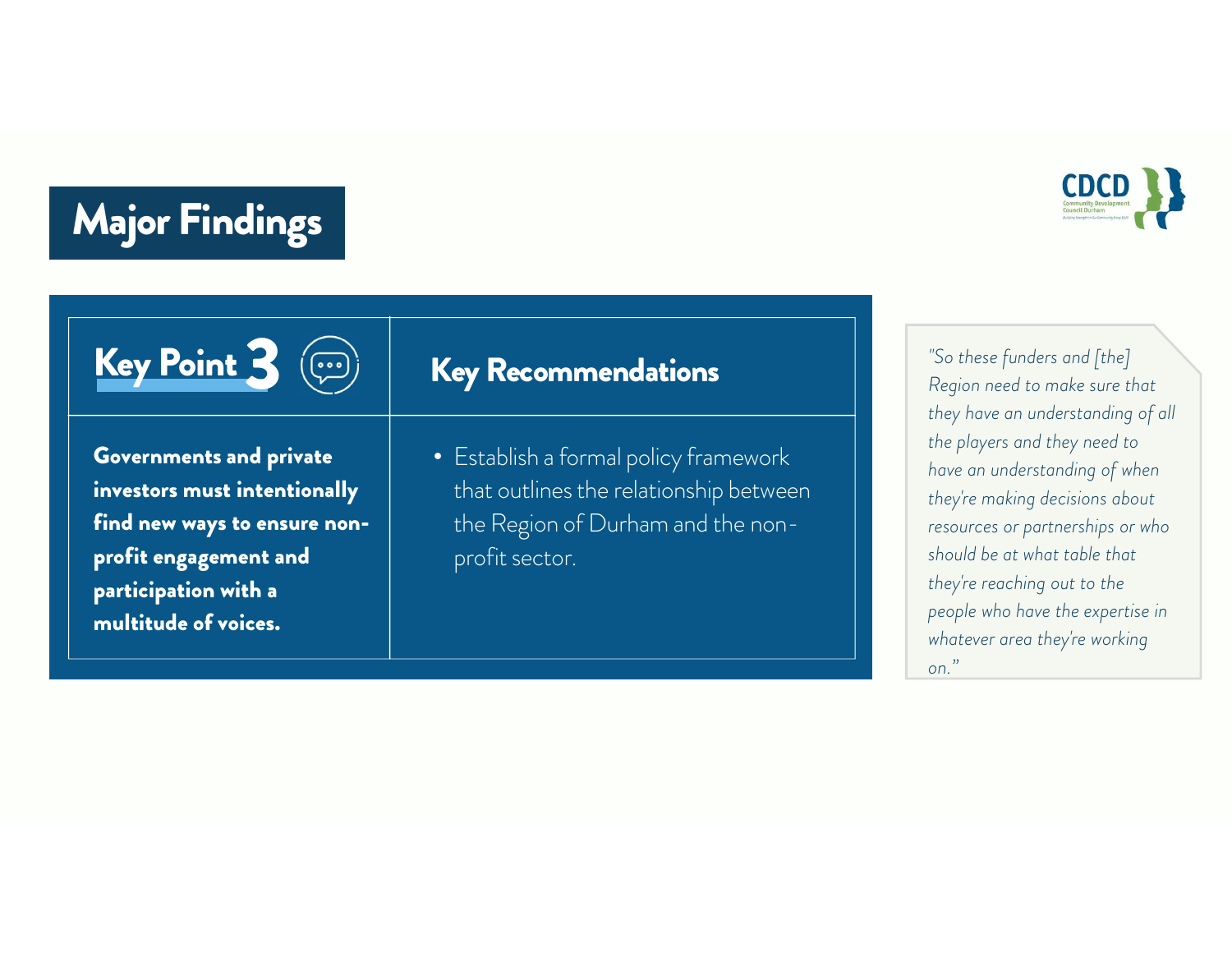#### Major Findings Major Findings





Governments and private investors must intentionally find new ways to ensure nonprofit engagement and participation with a multitude of voices.

### Key Recommendations

• Establish a formal policy framework that outlines the relationship between the Region of Durham and the nonprofit sector.

"So these funders and [the] Region need to make sure that they have an understanding of all the players and they need to have an understanding of when they're making decisions about resources or partnerships or who should be at what table that they're reaching out to the people who have the expertise in whatever area they're working on."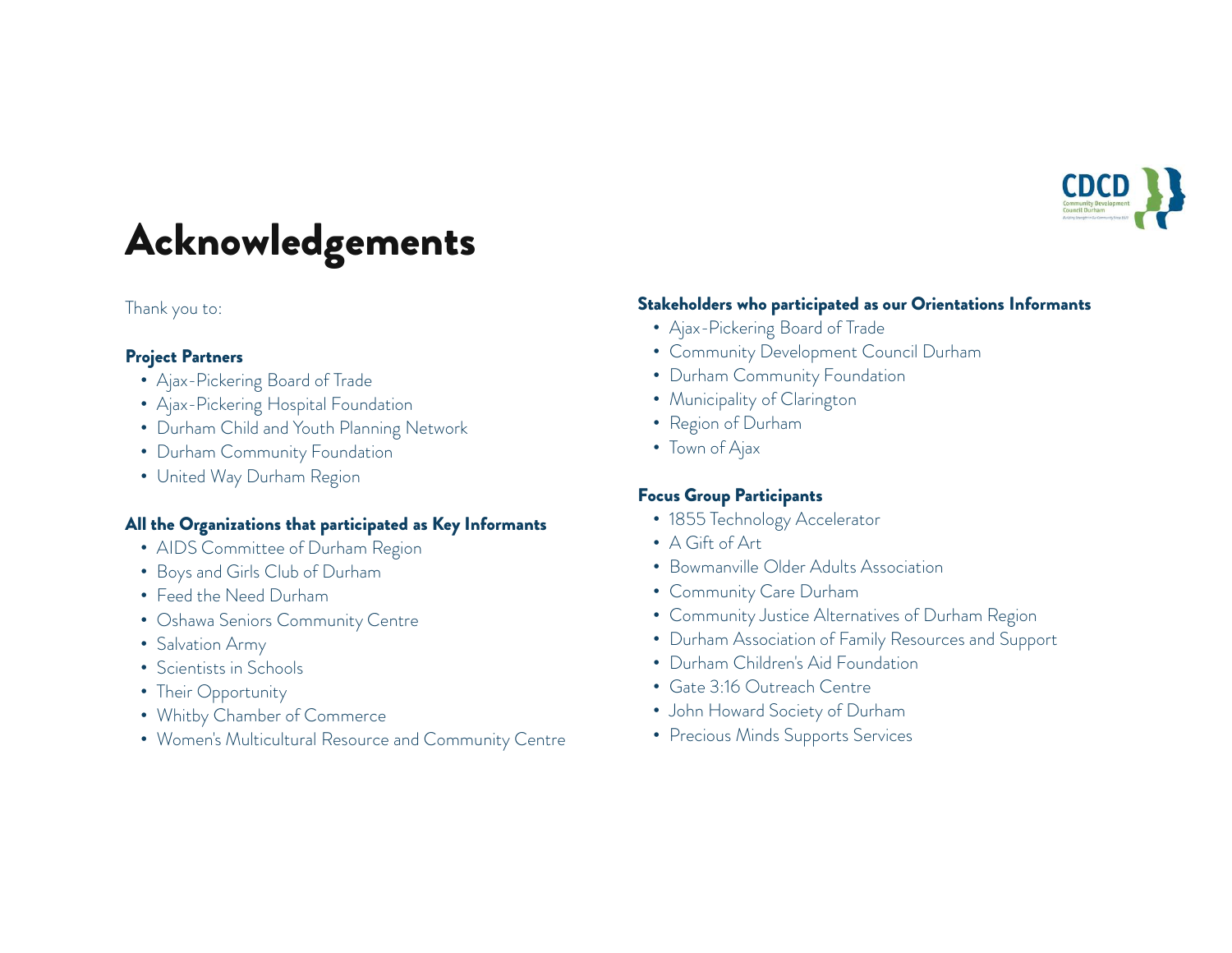

# Acknowledgements

#### Thank you to:

#### Project Partners

- Ajax-Pickering Board of Trade
- Ajax-Pickering Hospital Foundation
- Durham Child and Youth Planning Network
- Durham Community Foundation
- United Way Durham Region

#### All the Organizations that participated as Key Informants

- AIDS Committee of Durham Region
- Boys and Girls Club of Durham
- Feed the Need Durham
- Oshawa Seniors Community Centre
- Salvation Army
- Scientists in Schools
- Their Opportunity
- Whitby Chamber of Commerce
- Women's Multicultural Resource and Community Centre

#### Stakeholders who participated as our Orientations Informants

- Ajax-Pickering Board of Trade
- Community Development Council Durham
- Durham Community Foundation
- Municipality of Clarington
- Region of Durham
- Town of Ajax

#### Focus Group Participants

- 1855 Technology Accelerator
- A Gift of Art
- Bowmanville Older Adults Association
- Community Care Durham
- Community Justice Alternatives of Durham Region
- Durham Association of Family Resources and Support
- Durham Children's Aid Foundation
- Gate 3:16 Outreach Centre
- John Howard Society of Durham
- Precious Minds Supports Services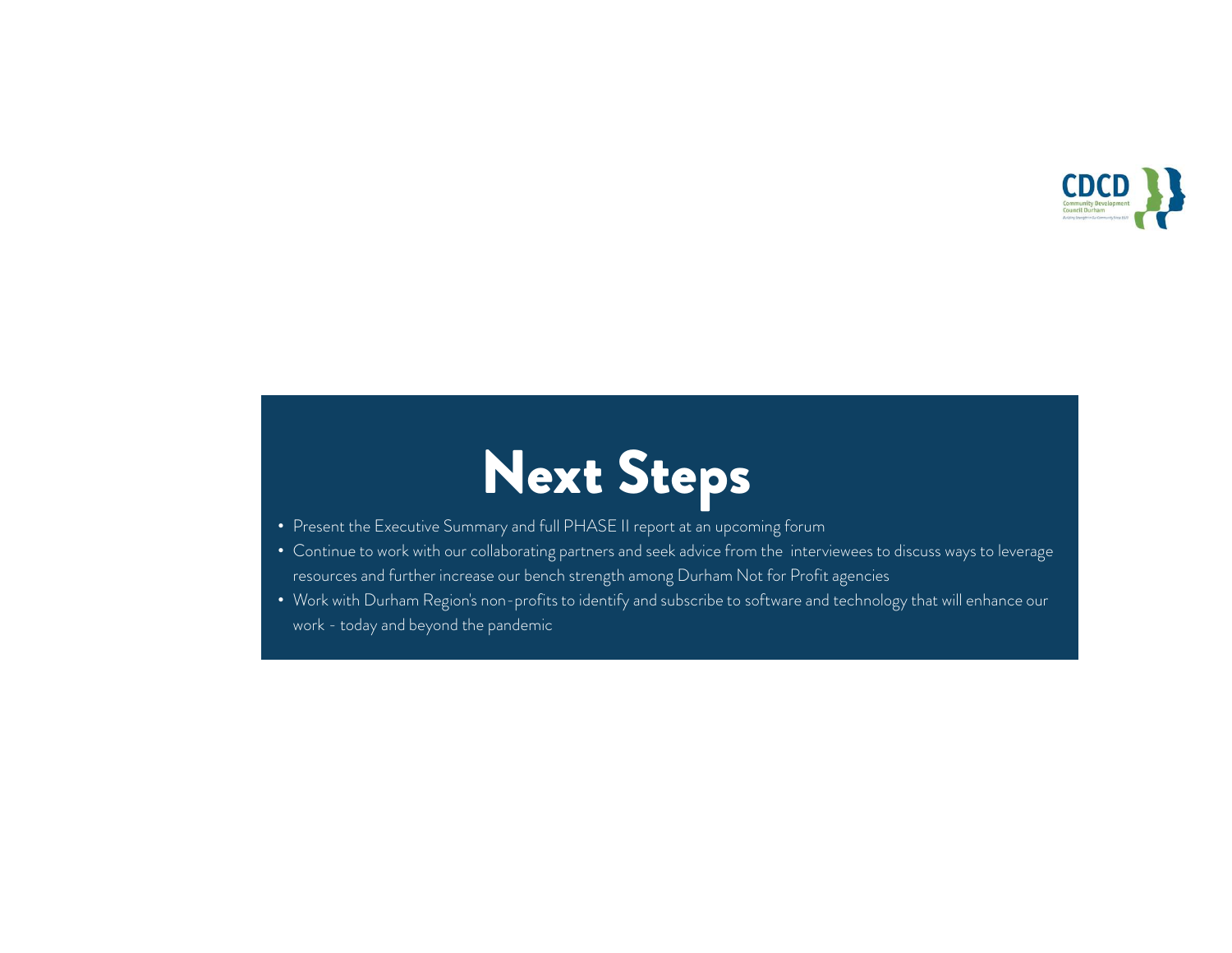

# Next Steps

- Present the Executive Summary and full PHASE II report at an upcoming forum
- Continue to work with our collaborating partners and seek advice from the interviewees to discuss ways to leverage resources and further increase our bench strength among Durham Not for Profit agencies
- Work with Durham Region's non-profits to identify and subscribe to software and technology that will enhance our Present the Executive Summary and full PH,<br>Continue to work with our collaborating parti<br>resources and further increase our bench stre<br>Work with Durham Region's non-profits to id<br>work - today and beyond the pandemic